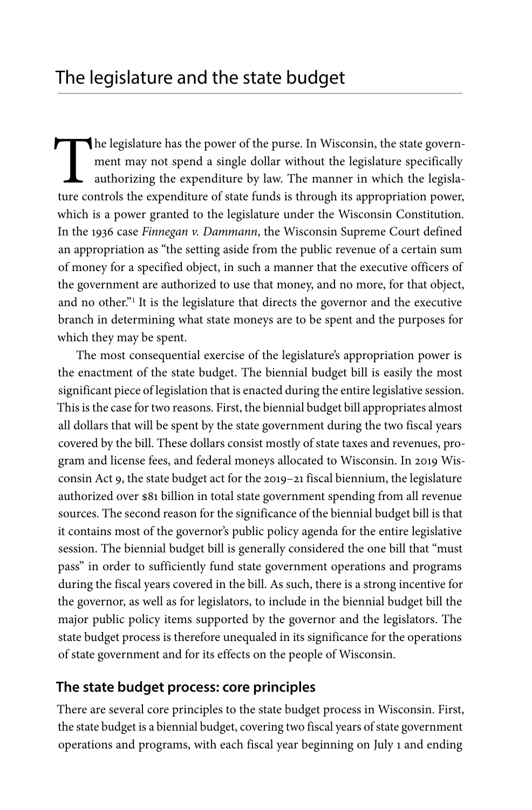The legislature has the power of the purse. In Wisconsin, the state government may not spend a single dollar without the legislature specifically authorizing the expenditure by law. The manner in which the legislature cont ment may not spend a single dollar without the legislature specifically authorizing the expenditure by law. The manner in which the legislature controls the expenditure of state funds is through its appropriation power, which is a power granted to the legislature under the Wisconsin Constitution. In the 1936 case *Finnegan v. Dammann*, the Wisconsin Supreme Court defined an appropriation as "the setting aside from the public revenue of a certain sum of money for a specified object, in such a manner that the executive officers of the government are authorized to use that money, and no more, for that object, and no other."1 It is the legislature that directs the governor and the executive branch in determining what state moneys are to be spent and the purposes for which they may be spent.

The most consequential exercise of the legislature's appropriation power is the enactment of the state budget. The biennial budget bill is easily the most significant piece of legislation that is enacted during the entire legislative session. This is the case for two reasons. First, the biennial budget bill appropriates almost all dollars that will be spent by the state government during the two fiscal years covered by the bill. These dollars consist mostly of state taxes and revenues, program and license fees, and federal moneys allocated to Wisconsin. In 2019 Wisconsin Act 9, the state budget act for the 2019–21 fiscal biennium, the legislature authorized over \$81 billion in total state government spending from all revenue sources. The second reason for the significance of the biennial budget bill is that it contains most of the governor's public policy agenda for the entire legislative session. The biennial budget bill is generally considered the one bill that "must pass" in order to sufficiently fund state government operations and programs during the fiscal years covered in the bill. As such, there is a strong incentive for the governor, as well as for legislators, to include in the biennial budget bill the major public policy items supported by the governor and the legislators. The state budget process is therefore unequaled in its significance for the operations of state government and for its effects on the people of Wisconsin.

## **The state budget process: core principles**

There are several core principles to the state budget process in Wisconsin. First, the state budget is a biennial budget, covering two fiscal years of state government operations and programs, with each fiscal year beginning on July 1 and ending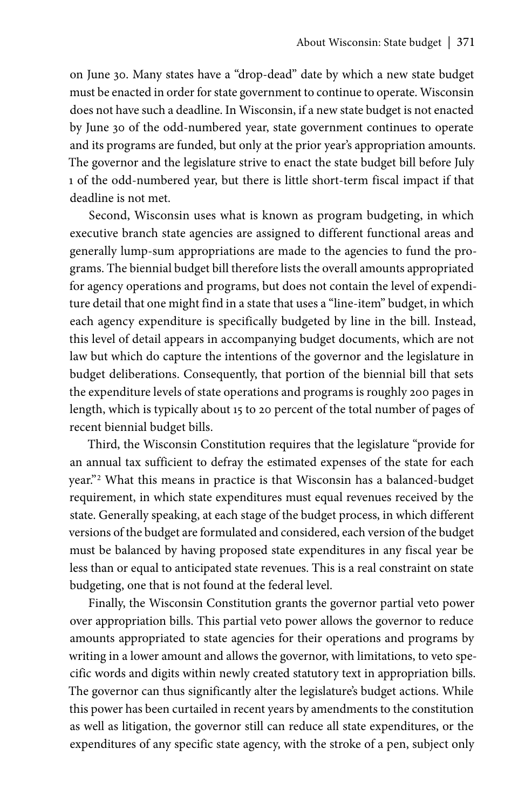on June 30. Many states have a "drop-dead" date by which a new state budget must be enacted in order for state government to continue to operate. Wisconsin does not have such a deadline. In Wisconsin, if a new state budget is not enacted by June 30 of the odd-numbered year, state government continues to operate and its programs are funded, but only at the prior year's appropriation amounts. The governor and the legislature strive to enact the state budget bill before July 1 of the odd-numbered year, but there is little short-term fiscal impact if that deadline is not met.

Second, Wisconsin uses what is known as program budgeting, in which executive branch state agencies are assigned to different functional areas and generally lump-sum appropriations are made to the agencies to fund the programs. The biennial budget bill therefore lists the overall amounts appropriated for agency operations and programs, but does not contain the level of expenditure detail that one might find in a state that uses a "line-item" budget, in which each agency expenditure is specifically budgeted by line in the bill. Instead, this level of detail appears in accompanying budget documents, which are not law but which do capture the intentions of the governor and the legislature in budget deliberations. Consequently, that portion of the biennial bill that sets the expenditure levels of state operations and programs is roughly 200 pages in length, which is typically about 15 to 20 percent of the total number of pages of recent biennial budget bills.

Third, the Wisconsin Constitution requires that the legislature "provide for an annual tax sufficient to defray the estimated expenses of the state for each year."2 What this means in practice is that Wisconsin has a balanced-budget requirement, in which state expenditures must equal revenues received by the state. Generally speaking, at each stage of the budget process, in which different versions of the budget are formulated and considered, each version of the budget must be balanced by having proposed state expenditures in any fiscal year be less than or equal to anticipated state revenues. This is a real constraint on state budgeting, one that is not found at the federal level.

Finally, the Wisconsin Constitution grants the governor partial veto power over appropriation bills. This partial veto power allows the governor to reduce amounts appropriated to state agencies for their operations and programs by writing in a lower amount and allows the governor, with limitations, to veto specific words and digits within newly created statutory text in appropriation bills. The governor can thus significantly alter the legislature's budget actions. While this power has been curtailed in recent years by amendments to the constitution as well as litigation, the governor still can reduce all state expenditures, or the expenditures of any specific state agency, with the stroke of a pen, subject only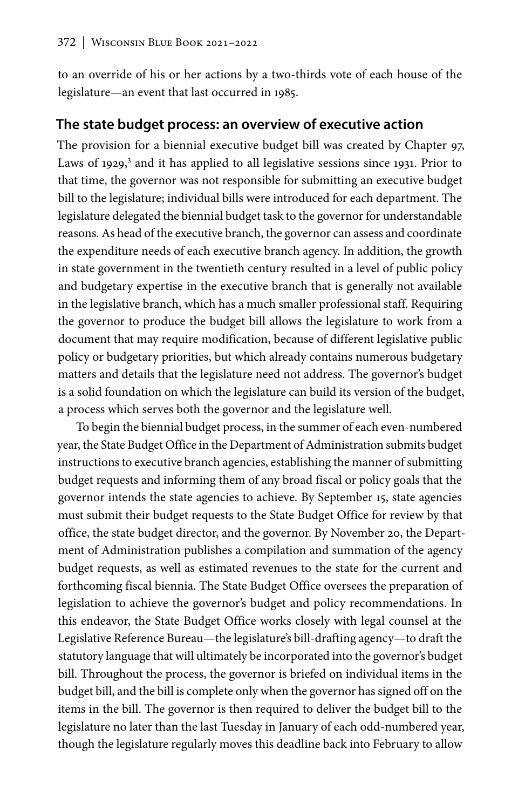to an override of his or her actions by a two-thirds vote of each house of the legislature—an event that last occurred in 1985.

#### **The state budget process: an overview of executive action**

The provision for a biennial executive budget bill was created by Chapter 97, Laws of 1929,<sup>3</sup> and it has applied to all legislative sessions since 1931. Prior to that time, the governor was not responsible for submitting an executive budget bill to the legislature; individual bills were introduced for each department. The legislature delegated the biennial budget task to the governor for understandable reasons. As head of the executive branch, the governor can assess and coordinate the expenditure needs of each executive branch agency. In addition, the growth in state government in the twentieth century resulted in a level of public policy and budgetary expertise in the executive branch that is generally not available in the legislative branch, which has a much smaller professional staff. Requiring the governor to produce the budget bill allows the legislature to work from a document that may require modification, because of different legislative public policy or budgetary priorities, but which already contains numerous budgetary matters and details that the legislature need not address. The governor's budget is a solid foundation on which the legislature can build its version of the budget, a process which serves both the governor and the legislature well.

To begin the biennial budget process, in the summer of each even-numbered year, the State Budget Office in the Department of Administration submits budget instructions to executive branch agencies, establishing the manner of submitting budget requests and informing them of any broad fiscal or policy goals that the governor intends the state agencies to achieve. By September 15, state agencies must submit their budget requests to the State Budget Office for review by that office, the state budget director, and the governor. By November 20, the Department of Administration publishes a compilation and summation of the agency budget requests, as well as estimated revenues to the state for the current and forthcoming fiscal biennia. The State Budget Office oversees the preparation of legislation to achieve the governor's budget and policy recommendations. In this endeavor, the State Budget Office works closely with legal counsel at the Legislative Reference Bureau—the legislature's bill-drafting agency—to draft the statutory language that will ultimately be incorporated into the governor's budget bill. Throughout the process, the governor is briefed on individual items in the budget bill, and the bill is complete only when the governor has signed off on the items in the bill. The governor is then required to deliver the budget bill to the legislature no later than the last Tuesday in January of each odd-numbered year, though the legislature regularly moves this deadline back into February to allow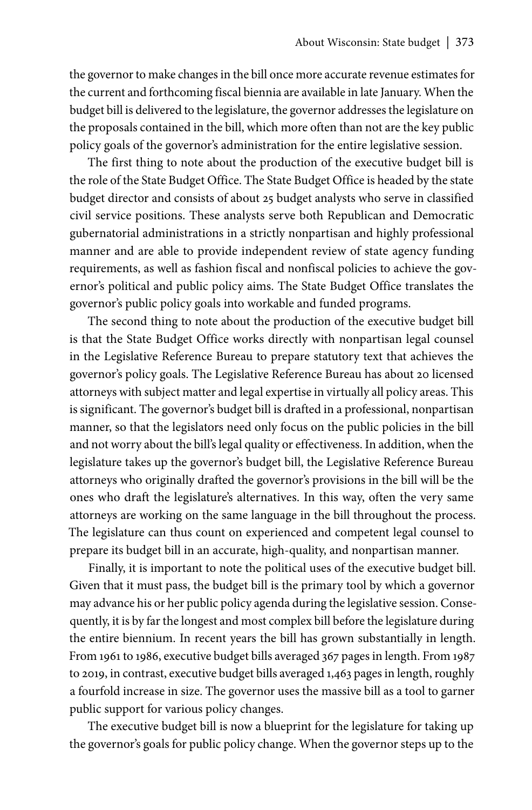the governor to make changes in the bill once more accurate revenue estimates for the current and forthcoming fiscal biennia are available in late January. When the budget bill is delivered to the legislature, the governor addresses the legislature on the proposals contained in the bill, which more often than not are the key public policy goals of the governor's administration for the entire legislative session.

The first thing to note about the production of the executive budget bill is the role of the State Budget Office. The State Budget Office is headed by the state budget director and consists of about 25 budget analysts who serve in classified civil service positions. These analysts serve both Republican and Democratic gubernatorial administrations in a strictly nonpartisan and highly professional manner and are able to provide independent review of state agency funding requirements, as well as fashion fiscal and nonfiscal policies to achieve the governor's political and public policy aims. The State Budget Office translates the governor's public policy goals into workable and funded programs.

The second thing to note about the production of the executive budget bill is that the State Budget Office works directly with nonpartisan legal counsel in the Legislative Reference Bureau to prepare statutory text that achieves the governor's policy goals. The Legislative Reference Bureau has about 20 licensed attorneys with subject matter and legal expertise in virtually all policy areas. This is significant. The governor's budget bill is drafted in a professional, nonpartisan manner, so that the legislators need only focus on the public policies in the bill and not worry about the bill's legal quality or effectiveness. In addition, when the legislature takes up the governor's budget bill, the Legislative Reference Bureau attorneys who originally drafted the governor's provisions in the bill will be the ones who draft the legislature's alternatives. In this way, often the very same attorneys are working on the same language in the bill throughout the process. The legislature can thus count on experienced and competent legal counsel to prepare its budget bill in an accurate, high-quality, and nonpartisan manner.

Finally, it is important to note the political uses of the executive budget bill. Given that it must pass, the budget bill is the primary tool by which a governor may advance his or her public policy agenda during the legislative session. Consequently, it is by far the longest and most complex bill before the legislature during the entire biennium. In recent years the bill has grown substantially in length. From 1961 to 1986, executive budget bills averaged 367 pages in length. From 1987 to 2019, in contrast, executive budget bills averaged 1,463 pages in length, roughly a fourfold increase in size. The governor uses the massive bill as a tool to garner public support for various policy changes.

The executive budget bill is now a blueprint for the legislature for taking up the governor's goals for public policy change. When the governor steps up to the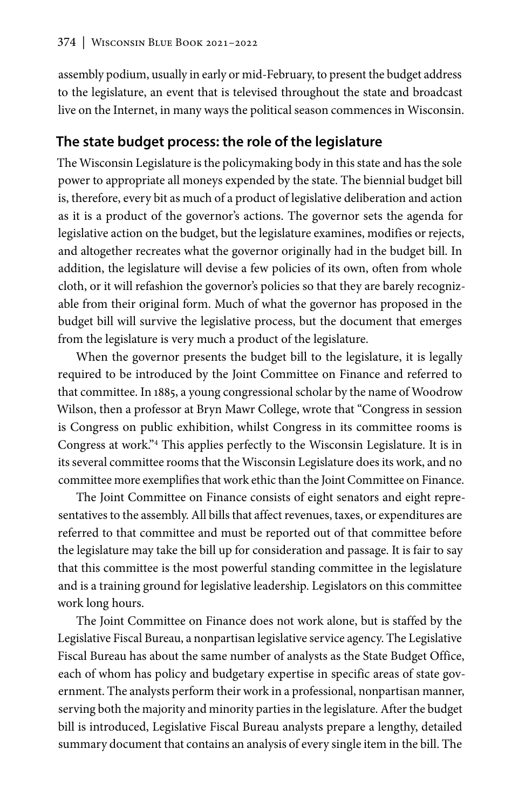assembly podium, usually in early or mid-February, to present the budget address to the legislature, an event that is televised throughout the state and broadcast live on the Internet, in many ways the political season commences in Wisconsin.

### **The state budget process: the role of the legislature**

The Wisconsin Legislature is the policymaking body in this state and has the sole power to appropriate all moneys expended by the state. The biennial budget bill is, therefore, every bit as much of a product of legislative deliberation and action as it is a product of the governor's actions. The governor sets the agenda for legislative action on the budget, but the legislature examines, modifies or rejects, and altogether recreates what the governor originally had in the budget bill. In addition, the legislature will devise a few policies of its own, often from whole cloth, or it will refashion the governor's policies so that they are barely recognizable from their original form. Much of what the governor has proposed in the budget bill will survive the legislative process, but the document that emerges from the legislature is very much a product of the legislature.

When the governor presents the budget bill to the legislature, it is legally required to be introduced by the Joint Committee on Finance and referred to that committee. In 1885, a young congressional scholar by the name of Woodrow Wilson, then a professor at Bryn Mawr College, wrote that "Congress in session is Congress on public exhibition, whilst Congress in its committee rooms is Congress at work."4 This applies perfectly to the Wisconsin Legislature. It is in its several committee rooms that the Wisconsin Legislature does its work, and no committee more exemplifies that work ethic than the Joint Committee on Finance.

The Joint Committee on Finance consists of eight senators and eight representatives to the assembly. All bills that affect revenues, taxes, or expenditures are referred to that committee and must be reported out of that committee before the legislature may take the bill up for consideration and passage. It is fair to say that this committee is the most powerful standing committee in the legislature and is a training ground for legislative leadership. Legislators on this committee work long hours.

The Joint Committee on Finance does not work alone, but is staffed by the Legislative Fiscal Bureau, a nonpartisan legislative service agency. The Legislative Fiscal Bureau has about the same number of analysts as the State Budget Office, each of whom has policy and budgetary expertise in specific areas of state government. The analysts perform their work in a professional, nonpartisan manner, serving both the majority and minority parties in the legislature. After the budget bill is introduced, Legislative Fiscal Bureau analysts prepare a lengthy, detailed summary document that contains an analysis of every single item in the bill. The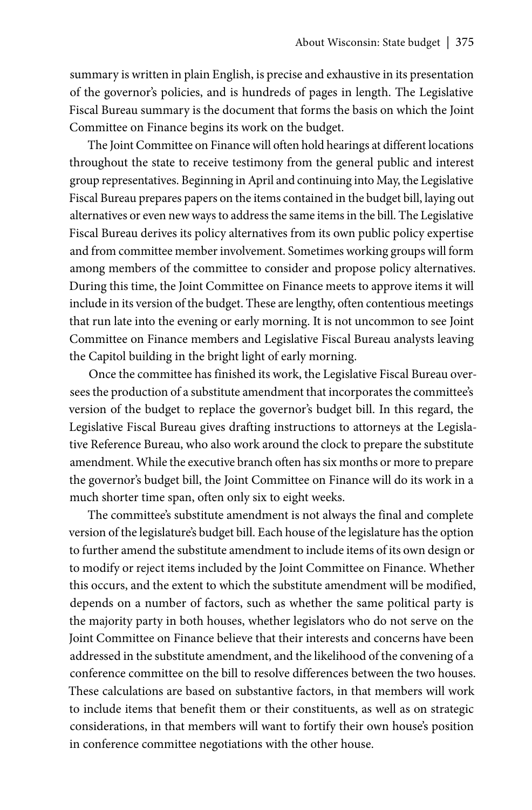summary is written in plain English, is precise and exhaustive in its presentation of the governor's policies, and is hundreds of pages in length. The Legislative Fiscal Bureau summary is the document that forms the basis on which the Joint Committee on Finance begins its work on the budget.

The Joint Committee on Finance will often hold hearings at different locations throughout the state to receive testimony from the general public and interest group representatives. Beginning in April and continuing into May, the Legislative Fiscal Bureau prepares papers on the items contained in the budget bill, laying out alternatives or even new ways to address the same items in the bill. The Legislative Fiscal Bureau derives its policy alternatives from its own public policy expertise and from committee member involvement. Sometimes working groups will form among members of the committee to consider and propose policy alternatives. During this time, the Joint Committee on Finance meets to approve items it will include in its version of the budget. These are lengthy, often contentious meetings that run late into the evening or early morning. It is not uncommon to see Joint Committee on Finance members and Legislative Fiscal Bureau analysts leaving the Capitol building in the bright light of early morning.

Once the committee has finished its work, the Legislative Fiscal Bureau oversees the production of a substitute amendment that incorporates the committee's version of the budget to replace the governor's budget bill. In this regard, the Legislative Fiscal Bureau gives drafting instructions to attorneys at the Legislative Reference Bureau, who also work around the clock to prepare the substitute amendment. While the executive branch often has six months or more to prepare the governor's budget bill, the Joint Committee on Finance will do its work in a much shorter time span, often only six to eight weeks.

The committee's substitute amendment is not always the final and complete version of the legislature's budget bill. Each house of the legislature has the option to further amend the substitute amendment to include items of its own design or to modify or reject items included by the Joint Committee on Finance. Whether this occurs, and the extent to which the substitute amendment will be modified, depends on a number of factors, such as whether the same political party is the majority party in both houses, whether legislators who do not serve on the Joint Committee on Finance believe that their interests and concerns have been addressed in the substitute amendment, and the likelihood of the convening of a conference committee on the bill to resolve differences between the two houses. These calculations are based on substantive factors, in that members will work to include items that benefit them or their constituents, as well as on strategic considerations, in that members will want to fortify their own house's position in conference committee negotiations with the other house.